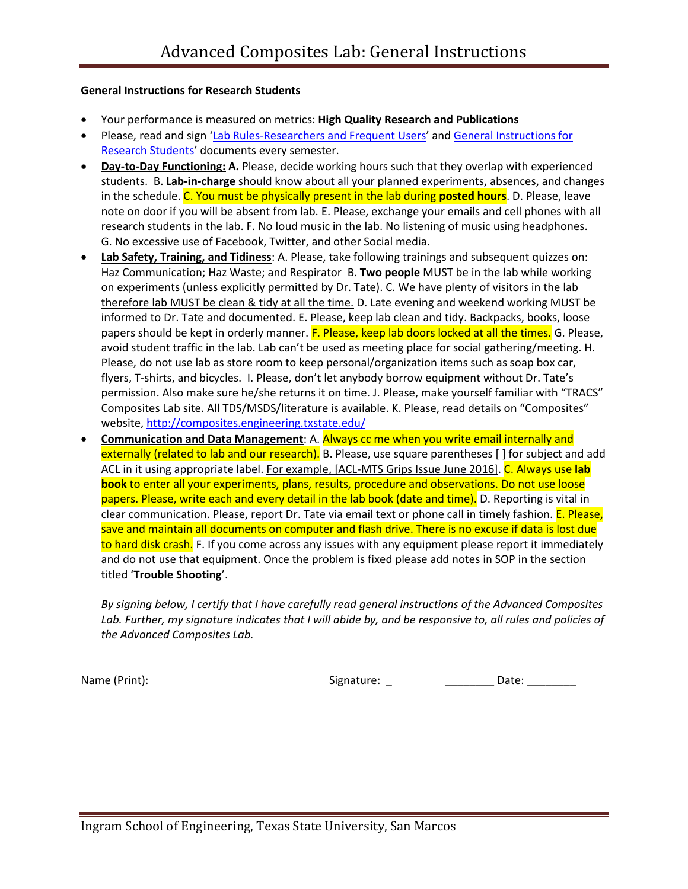## **General Instructions for Research Students**

- Your performance is measured on metrics: **High Quality Research and Publications**
- Please, read and sign '[Lab Rules-Researchers and Frequent Users](http://gato-docs.its.txstate.edu/jcr:507b8273-8530-413d-9dc9-c2bcbd71ad9b/Lab%20Safety%20Rules-%20Researcher%20and%20Frequest%20Users.pdf)' and General Instructions for [Research Students](http://gato-docs.its.txstate.edu/jcr:012a8ea1-73ba-46fa-a330-80769fbfb539/General%20Instructions%20for%20Research%20%20Students-Revised%20June%202016.pdf)' documents every semester.
- **Day-to-Day Functioning: A.** Please, decide working hours such that they overlap with experienced students. B. **Lab-in-charge** should know about all your planned experiments, absences, and changes in the schedule. C. You must be physically present in the lab during **posted hours**. D. Please, leave note on door if you will be absent from lab. E. Please, exchange your emails and cell phones with all research students in the lab. F. No loud music in the lab. No listening of music using headphones. G. No excessive use of Facebook, Twitter, and other Social media.
- **Lab Safety, Training, and Tidiness**: A. Please, take following trainings and subsequent quizzes on: Haz Communication; Haz Waste; and Respirator B. **Two people** MUST be in the lab while working on experiments (unless explicitly permitted by Dr. Tate). C. We have plenty of visitors in the lab therefore lab MUST be clean & tidy at all the time. D. Late evening and weekend working MUST be informed to Dr. Tate and documented. E. Please, keep lab clean and tidy. Backpacks, books, loose papers should be kept in orderly manner. F. Please, keep lab doors locked at all the times. G. Please, avoid student traffic in the lab. Lab can't be used as meeting place for social gathering/meeting. H. Please, do not use lab as store room to keep personal/organization items such as soap box car, flyers, T-shirts, and bicycles. I. Please, don't let anybody borrow equipment without Dr. Tate's permission. Also make sure he/she returns it on time. J. Please, make yourself familiar with "TRACS" Composites Lab site. All TDS/MSDS/literature is available. K. Please, read details on "Composites" website,<http://composites.engineering.txstate.edu/>
- **Communication and Data Management**: A. Always cc me when you write email internally and externally (related to lab and our research). B. Please, use square parentheses [ ] for subject and add ACL in it using appropriate label. For example, [ACL-MTS Grips Issue June 2016]. C. Always use **lab book** to enter all your experiments, plans, results, procedure and observations. Do not use loose papers. Please, write each and every detail in the lab book (date and time). D. Reporting is vital in clear communication. Please, report Dr. Tate via email text or phone call in timely fashion. E. Please, save and maintain all documents on computer and flash drive. There is no excuse if data is lost due to hard disk crash. F. If you come across any issues with any equipment please report it immediately and do not use that equipment. Once the problem is fixed please add notes in SOP in the section titled '**Trouble Shooting**'.

*By signing below, I certify that I have carefully read general instructions of the Advanced Composites Lab. Further, my signature indicates that I will abide by, and be responsive to, all rules and policies of the Advanced Composites Lab.*

Name (Print): Signature: \_ \_\_\_\_\_\_\_\_ Date: \_\_\_\_\_\_\_\_